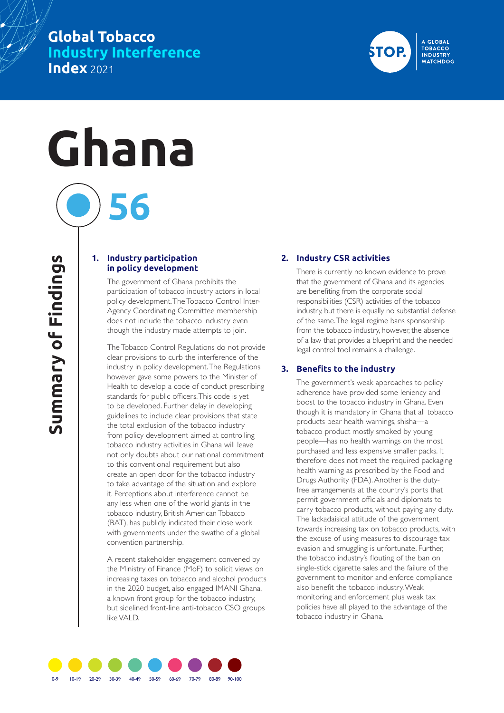## **Global Tobacco Industry Interference Index** 2021

# **Ghana**

### **1. Industry participation in policy development**

**56**

The government of Ghana prohibits the participation of tobacco industry actors in local policy development. The Tobacco Control Inter-Agency Coordinating Committee membership does not include the tobacco industry even though the industry made attempts to join.

The Tobacco Control Regulations do not provide clear provisions to curb the interference of the industry in policy development. The Regulations however gave some powers to the Minister of Health to develop a code of conduct prescribing standards for public officers. This code is yet to be developed. Further delay in developing guidelines to include clear provisions that state the total exclusion of the tobacco industry from policy development aimed at controlling tobacco industry activities in Ghana will leave not only doubts about our national commitment to this conventional requirement but also create an open door for the tobacco industry to take advantage of the situation and explore it. Perceptions about interference cannot be any less when one of the world giants in the tobacco industry, British American Tobacco (BAT), has publicly indicated their close work with governments under the swathe of a global convention partnership.

A recent stakeholder engagement convened by the Ministry of Finance (MoF) to solicit views on increasing taxes on tobacco and alcohol products in the 2020 budget, also engaged IMANI Ghana, a known front group for the tobacco industry, but sidelined front-line anti-tobacco CSO groups like VALD.

#### **2. Industry CSR activities**

There is currently no known evidence to prove that the government of Ghana and its agencies are benefiting from the corporate social responsibilities (CSR) activities of the tobacco industry, but there is equally no substantial defense of the same. The legal regime bans sponsorship from the tobacco industry, however, the absence of a law that provides a blueprint and the needed legal control tool remains a challenge.

A GLOBAL **TOBACCO INDUSTRY WATCHDOG** 

#### **3. Benefits to the industry**

The government's weak approaches to policy adherence have provided some leniency and boost to the tobacco industry in Ghana. Even though it is mandatory in Ghana that all tobacco products bear health warnings, shisha—a tobacco product mostly smoked by young people—has no health warnings on the most purchased and less expensive smaller packs. It therefore does not meet the required packaging health warning as prescribed by the Food and Drugs Authority (FDA). Another is the dutyfree arrangements at the country's ports that permit government officials and diplomats to carry tobacco products, without paying any duty. The lackadaisical attitude of the government towards increasing tax on tobacco products, with the excuse of using measures to discourage tax evasion and smuggling is unfortunate. Further, the tobacco industry's flouting of the ban on single-stick cigarette sales and the failure of the government to monitor and enforce compliance also benefit the tobacco industry. Weak monitoring and enforcement plus weak tax policies have all played to the advantage of the tobacco industry in Ghana.

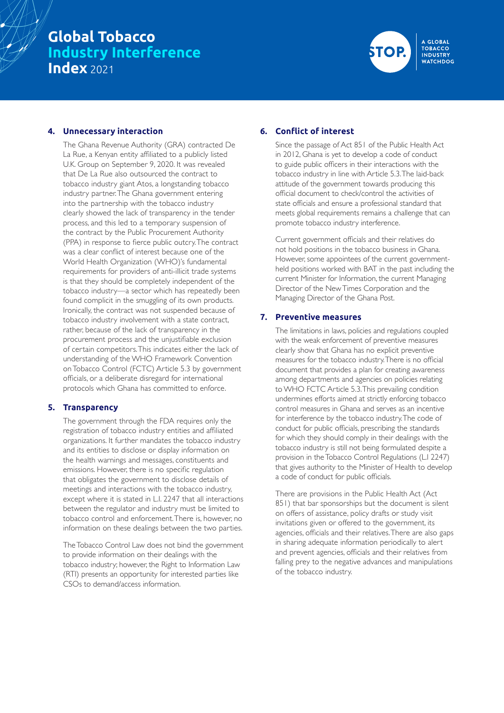## **Global Tobacco Industry Interference Index** 2021



#### **4. Unnecessary interaction**

The Ghana Revenue Authority (GRA) contracted De La Rue, a Kenyan entity affiliated to a publicly listed U.K. Group on September 9, 2020. It was revealed that De La Rue also outsourced the contract to tobacco industry giant Atos, a longstanding tobacco industry partner. The Ghana government entering into the partnership with the tobacco industry clearly showed the lack of transparency in the tender process, and this led to a temporary suspension of the contract by the Public Procurement Authority (PPA) in response to fierce public outcry. The contract was a clear conflict of interest because one of the World Health Organization (WHO)'s fundamental requirements for providers of anti-illicit trade systems is that they should be completely independent of the tobacco industry—a sector which has repeatedly been found complicit in the smuggling of its own products. Ironically, the contract was not suspended because of tobacco industry involvement with a state contract, rather, because of the lack of transparency in the procurement process and the unjustifiable exclusion of certain competitors. This indicates either the lack of understanding of the WHO Framework Convention on Tobacco Control (FCTC) Article 5.3 by government officials, or a deliberate disregard for international protocols which Ghana has committed to enforce.

#### **5. Transparency**

The government through the FDA requires only the registration of tobacco industry entities and affiliated organizations. It further mandates the tobacco industry and its entities to disclose or display information on the health warnings and messages, constituents and emissions. However, there is no specific regulation that obligates the government to disclose details of meetings and interactions with the tobacco industry, except where it is stated in L.I. 2247 that all interactions between the regulator and industry must be limited to tobacco control and enforcement. There is, however, no information on these dealings between the two parties.

The Tobacco Control Law does not bind the government to provide information on their dealings with the tobacco industry; however, the Right to Information Law (RTI) presents an opportunity for interested parties like CSOs to demand/access information.

#### **6. Conflict of interest**

Since the passage of Act 851 of the Public Health Act in 2012, Ghana is yet to develop a code of conduct to guide public officers in their interactions with the tobacco industry in line with Article 5.3. The laid-back attitude of the government towards producing this official document to check/control the activities of state officials and ensure a professional standard that meets global requirements remains a challenge that can promote tobacco industry interference.

Current government officials and their relatives do not hold positions in the tobacco business in Ghana. However, some appointees of the current governmentheld positions worked with BAT in the past including the current Minister for Information, the current Managing Director of the New Times Corporation and the Managing Director of the Ghana Post.

#### **7. Preventive measures**

The limitations in laws, policies and regulations coupled with the weak enforcement of preventive measures clearly show that Ghana has no explicit preventive measures for the tobacco industry. There is no official document that provides a plan for creating awareness among departments and agencies on policies relating to WHO FCTC Article 5.3. This prevailing condition undermines efforts aimed at strictly enforcing tobacco control measures in Ghana and serves as an incentive for interference by the tobacco industry. The code of conduct for public officials, prescribing the standards for which they should comply in their dealings with the tobacco industry is still not being formulated despite a provision in the Tobacco Control Regulations (L.I 2247) that gives authority to the Minister of Health to develop a code of conduct for public officials.

There are provisions in the Public Health Act (Act 851) that bar sponsorships but the document is silent on offers of assistance, policy drafts or study visit invitations given or offered to the government, its agencies, officials and their relatives. There are also gaps in sharing adequate information periodically to alert and prevent agencies, officials and their relatives from falling prey to the negative advances and manipulations of the tobacco industry.